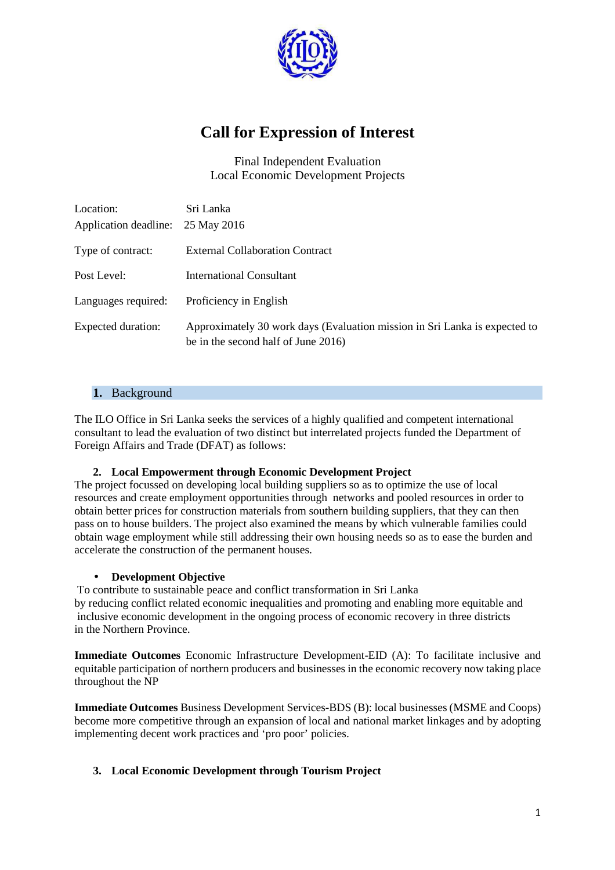

# **Call for Expression of Interest**

Final Independent Evaluation Local Economic Development Projects

| Location:<br>Application deadline: | Sri Lanka<br>25 May 2016                                                                                          |
|------------------------------------|-------------------------------------------------------------------------------------------------------------------|
| Type of contract:                  | <b>External Collaboration Contract</b>                                                                            |
| Post Level:                        | <b>International Consultant</b>                                                                                   |
| Languages required:                | Proficiency in English                                                                                            |
| Expected duration:                 | Approximately 30 work days (Evaluation mission in Sri Lanka is expected to<br>be in the second half of June 2016) |

## **1.** Background

The ILO Office in Sri Lanka seeks the services of a highly qualified and competent international consultant to lead the evaluation of two distinct but interrelated projects funded the Department of Foreign Affairs and Trade (DFAT) as follows:

#### **2. Local Empowerment through Economic Development Project**

The project focussed on developing local building suppliers so as to optimize the use of local resources and create employment opportunities through networks and pooled resources in order to obtain better prices for construction materials from southern building suppliers, that they can then pass on to house builders. The project also examined the means by which vulnerable families could obtain wage employment while still addressing their own housing needs so as to ease the burden and accelerate the construction of the permanent houses.

#### • **Development Objective**

 To contribute to sustainable peace and conflict transformation in Sri Lanka by reducing conflict related economic inequalities and promoting and enabling more equitable and inclusive economic development in the ongoing process of economic recovery in three districts in the Northern Province.

**Immediate Outcomes** Economic Infrastructure Development-EID (A): To facilitate inclusive and equitable participation of northern producers and businesses in the economic recovery now taking place throughout the NP

**Immediate Outcomes** Business Development Services-BDS (B): local businesses (MSME and Coops) become more competitive through an expansion of local and national market linkages and by adopting implementing decent work practices and 'pro poor' policies.

#### **3. Local Economic Development through Tourism Project**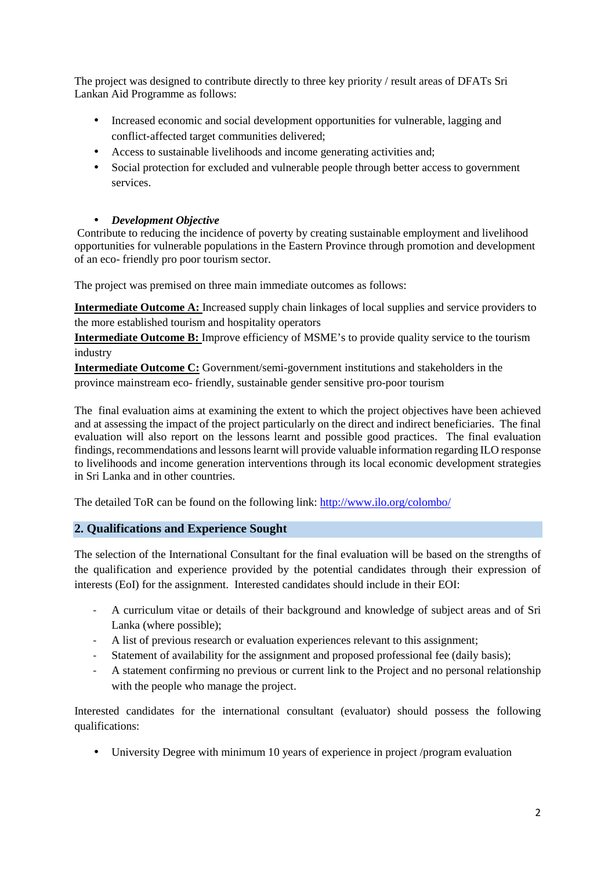The project was designed to contribute directly to three key priority / result areas of DFATs Sri Lankan Aid Programme as follows:

- Increased economic and social development opportunities for vulnerable, lagging and conflict‐affected target communities delivered;
- Access to sustainable livelihoods and income generating activities and;
- Social protection for excluded and vulnerable people through better access to government services.

#### • *Development Objective*

 Contribute to reducing the incidence of poverty by creating sustainable employment and livelihood opportunities for vulnerable populations in the Eastern Province through promotion and development of an eco- friendly pro poor tourism sector.

The project was premised on three main immediate outcomes as follows:

**Intermediate Outcome A:** Increased supply chain linkages of local supplies and service providers to the more established tourism and hospitality operators

**Intermediate Outcome B:** Improve efficiency of MSME's to provide quality service to the tourism industry

**Intermediate Outcome C:** Government/semi-government institutions and stakeholders in the province mainstream eco- friendly, sustainable gender sensitive pro-poor tourism

The final evaluation aims at examining the extent to which the project objectives have been achieved and at assessing the impact of the project particularly on the direct and indirect beneficiaries. The final evaluation will also report on the lessons learnt and possible good practices. The final evaluation findings, recommendations and lessons learnt will provide valuable information regarding ILO response to livelihoods and income generation interventions through its local economic development strategies in Sri Lanka and in other countries.

The detailed ToR can be found on the following link: http://www.ilo.org/colombo/

#### **2. Qualifications and Experience Sought**

The selection of the International Consultant for the final evaluation will be based on the strengths of the qualification and experience provided by the potential candidates through their expression of interests (EoI) for the assignment. Interested candidates should include in their EOI:

- A curriculum vitae or details of their background and knowledge of subject areas and of Sri Lanka (where possible);
- A list of previous research or evaluation experiences relevant to this assignment;
- Statement of availability for the assignment and proposed professional fee (daily basis);
- A statement confirming no previous or current link to the Project and no personal relationship with the people who manage the project.

Interested candidates for the international consultant (evaluator) should possess the following qualifications:

• University Degree with minimum 10 years of experience in project /program evaluation